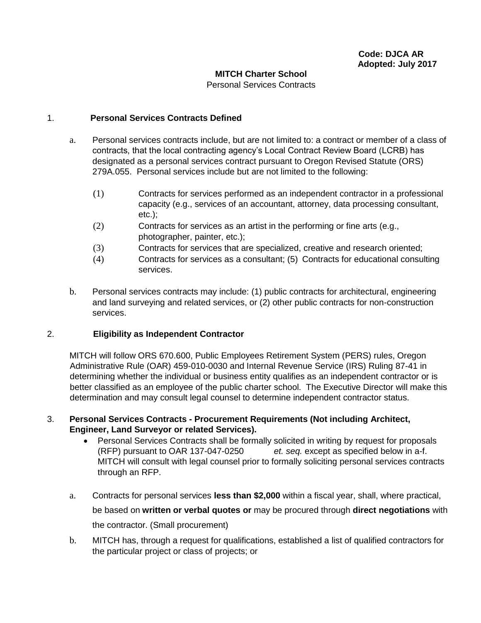#### **MITCH Charter School**

Personal Services Contracts

#### 1. **Personal Services Contracts Defined**

- a. Personal services contracts include, but are not limited to: a contract or member of a class of contracts, that the local contracting agency's Local Contract Review Board (LCRB) has designated as a personal services contract pursuant to Oregon Revised Statute (ORS) 279A.055. Personal services include but are not limited to the following:
	- (1) Contracts for services performed as an independent contractor in a professional capacity (e.g., services of an accountant, attorney, data processing consultant, etc.);
	- (2) Contracts for services as an artist in the performing or fine arts (e.g., photographer, painter, etc.);
	- (3) Contracts for services that are specialized, creative and research oriented;
	- (4) Contracts for services as a consultant; (5) Contracts for educational consulting services.
- b. Personal services contracts may include: (1) public contracts for architectural, engineering and land surveying and related services, or (2) other public contracts for non-construction services.

### 2. **Eligibility as Independent Contractor**

MITCH will follow ORS 670.600, Public Employees Retirement System (PERS) rules, Oregon Administrative Rule (OAR) 459-010-0030 and Internal Revenue Service (IRS) Ruling 87-41 in determining whether the individual or business entity qualifies as an independent contractor or is better classified as an employee of the public charter school. The Executive Director will make this determination and may consult legal counsel to determine independent contractor status.

### 3. **Personal Services Contracts - Procurement Requirements (Not including Architect, Engineer, Land Surveyor or related Services).**

- Personal Services Contracts shall be formally solicited in writing by request for proposals (RFP) pursuant to OAR 137-047-0250 *et. seq.* except as specified below in a-f. MITCH will consult with legal counsel prior to formally soliciting personal services contracts through an RFP.
- a. Contracts for personal services **less than \$2,000** within a fiscal year, shall, where practical, be based on **written or verbal quotes or** may be procured through **direct negotiations** with the contractor. (Small procurement)
- b. MITCH has, through a request for qualifications, established a list of qualified contractors for the particular project or class of projects; or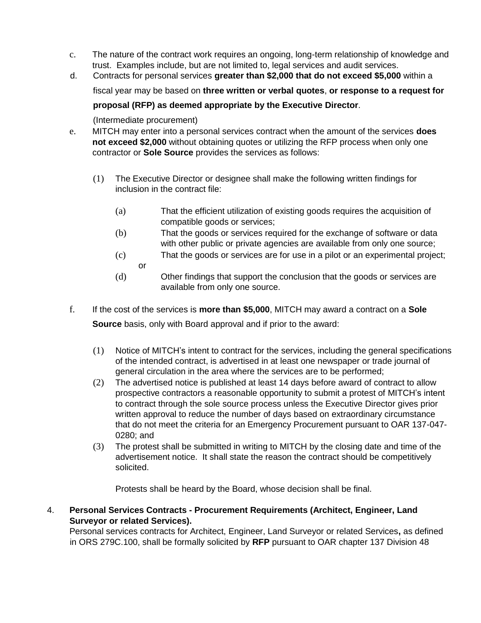- c. The nature of the contract work requires an ongoing, long-term relationship of knowledge and trust. Examples include, but are not limited to, legal services and audit services.
- d. Contracts for personal services **greater than \$2,000 that do not exceed \$5,000** within a

fiscal year may be based on **three written or verbal quotes**, **or response to a request for** 

# **proposal (RFP) as deemed appropriate by the Executive Director**.

(Intermediate procurement)

- e. MITCH may enter into a personal services contract when the amount of the services **does not exceed \$2,000** without obtaining quotes or utilizing the RFP process when only one contractor or **Sole Source** provides the services as follows:
	- (1) The Executive Director or designee shall make the following written findings for inclusion in the contract file:
		- (a) That the efficient utilization of existing goods requires the acquisition of compatible goods or services;
		- (b) That the goods or services required for the exchange of software or data with other public or private agencies are available from only one source;
		- (c) That the goods or services are for use in a pilot or an experimental project; or
		- (d) Other findings that support the conclusion that the goods or services are available from only one source.
- f. If the cost of the services is **more than \$5,000**, MITCH may award a contract on a **Sole Source** basis, only with Board approval and if prior to the award:
	- (1) Notice of MITCH's intent to contract for the services, including the general specifications of the intended contract, is advertised in at least one newspaper or trade journal of general circulation in the area where the services are to be performed;
	- (2) The advertised notice is published at least 14 days before award of contract to allow prospective contractors a reasonable opportunity to submit a protest of MITCH's intent to contract through the sole source process unless the Executive Director gives prior written approval to reduce the number of days based on extraordinary circumstance that do not meet the criteria for an Emergency Procurement pursuant to OAR 137-047- 0280; and
	- (3) The protest shall be submitted in writing to MITCH by the closing date and time of the advertisement notice. It shall state the reason the contract should be competitively solicited.

Protests shall be heard by the Board, whose decision shall be final.

4. **Personal Services Contracts - Procurement Requirements (Architect, Engineer, Land Surveyor or related Services).**

Personal services contracts for Architect, Engineer, Land Surveyor or related Services**,** as defined in ORS 279C.100, shall be formally solicited by **RFP** pursuant to OAR chapter 137 Division 48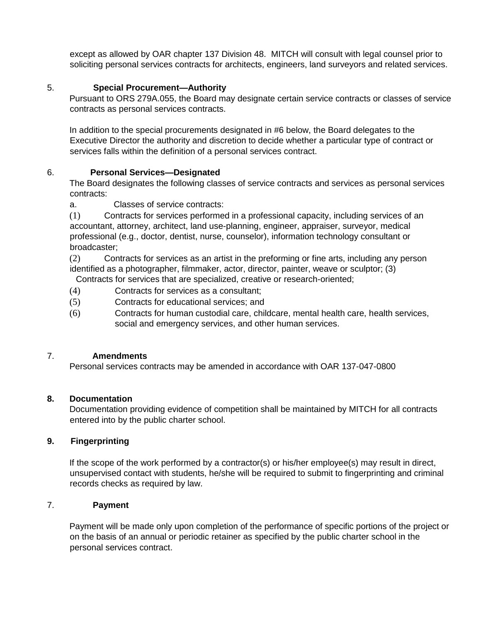except as allowed by OAR chapter 137 Division 48. MITCH will consult with legal counsel prior to soliciting personal services contracts for architects, engineers, land surveyors and related services.

### 5. **Special Procurement—Authority**

Pursuant to ORS 279A.055, the Board may designate certain service contracts or classes of service contracts as personal services contracts.

In addition to the special procurements designated in #6 below, the Board delegates to the Executive Director the authority and discretion to decide whether a particular type of contract or services falls within the definition of a personal services contract.

## 6. **Personal Services—Designated**

The Board designates the following classes of service contracts and services as personal services contracts:

a. Classes of service contracts:

(1) Contracts for services performed in a professional capacity, including services of an accountant, attorney, architect, land use-planning, engineer, appraiser, surveyor, medical professional (e.g., doctor, dentist, nurse, counselor), information technology consultant or broadcaster;

(2) Contracts for services as an artist in the preforming or fine arts, including any person identified as a photographer, filmmaker, actor, director, painter, weave or sculptor; (3) Contracts for services that are specialized, creative or research-oriented;

- (4) Contracts for services as a consultant;
- (5) Contracts for educational services; and
- (6) Contracts for human custodial care, childcare, mental health care, health services, social and emergency services, and other human services.

### 7. **Amendments**

Personal services contracts may be amended in accordance with OAR 137-047-0800

### **8. Documentation**

Documentation providing evidence of competition shall be maintained by MITCH for all contracts entered into by the public charter school.

### **9. Fingerprinting**

If the scope of the work performed by a contractor(s) or his/her employee(s) may result in direct, unsupervised contact with students, he/she will be required to submit to fingerprinting and criminal records checks as required by law.

### 7. **Payment**

Payment will be made only upon completion of the performance of specific portions of the project or on the basis of an annual or periodic retainer as specified by the public charter school in the personal services contract.